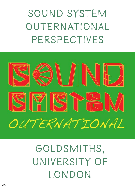Sound System Outernational PERSPECTIVES



# Goldsmiths, University of **LONDON**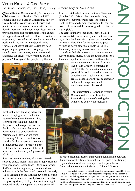## Vincent Moystad & Oana Pârvan Ed. Julian Henriques, June Reid, Corey Gilmore Togher, Nala Xaba

 $\Gamma$  ound System Outernational (SSO) is a prac- $\bigcup$  tice-research collective of MA and PhD students and staff based in Goldsmiths, in New Cross, London. We investigate theories and practices in sound system culture with the notion that research and practitioner discussion can provide meaningful contributions to this culture. We approach sound system culture as a system of experience, knowledge and practice: a method and positionality as well as an object of study. Our main collective activity to date has been organising symposia which bring together sound system researchers, practitioners and audiences for discussion, working to build a physical "third space" for people to gather and

from the established musical culture of Jamaica (Bradley 2001: 36). As the street technology of sound systems proliferated across the island, rivalries developed amongst operators for the most powerful stacks and the most original selection of music (ibid).

The early sound systems largely played Black American R&B, often sent by emigrant relatives or, as rivalries intensified, by envoys sent to New Orleans or New York for the specific purpose of hunting down new music (Katz 2012: 16). Eventually, sound system operators determined to outshine their rivals started to commission and record original music, laying the foundations for a Jamaican popular music industry in the context of



radical movements for decolonisaton (see Sylvia Wynter's comments in Scott 2000). The sonic techniques and political forms developed in Jamaican dancehalls and studios during these crucial decades of political contestation and social change continue to reverberate across the world.

The "outernational" of Sound System Outernationl is a word from the Rastafarian practice of altering the syllables to convey the speaker's



1 Dedicated becomes livicated, as such a commitment should be lived actively: it is never ded. Oppression becomes downpression, as a person is kept down by their oppressors. The practice both arranges words in a distinct cosmological ordering that emphasizes the word as performative utterance, but also destabilises concepts by reimagining their etymologies, opening them up to new interpretations and analyses. See Chevannes 1994.

meet each other, building networks and exchanging idea [...] what the space of the dancehall session aims to provide through the sound of the phonographic reproduction. In the Rastafarian nomenclature the events would be considered as a "groundation" at which we were "reasoning." In one sense this was our aim for the symposium: to create a shared space that is achieved at the best dancehall session and at the best academic conference. [D'Aquino et al 2017: 168]

Sound system culture has, of course, offered a space to dance, dream, think and struggle from its very inception. Hedley Jones – Jamaican former RAF electronics engineer, typesetter and trade unionist – built the first sound systems in the early 1950s. Building on the skills he developed setting up transistor radios or record players in rum shops and grocery stores, Hedley's innovation brought recorded music to a popular audience excluded

**AN INCLOSE** 

 $\overline{\phantom{a}}$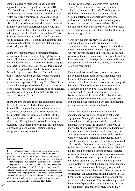complex tangle of relationships perhaps best approached through its poetics (Glissant 2010: 138). Sound system culture was an integral part of Jamaican and Caribbean popular culture in Britain. It also provides a framework for a distinct Black and radical art and literature (Chambers 2017: 116). Its idioms of dance, lyrical prowess, political militance, and sonic experimentation would also come to shape wider British popular music, inspiring a dizzying array of cultural forms (Sullivan 2014). Sound system culture in Jamaica itself has given rise to dancehall music, a sound and aesthetic that is increasingly influential in art and global popular music (Moystad 2018).

Sound systems patterned on Jamaican practices have also proliferated, constituting a global scene in complicated communication with Jamaica and the Jamaican diaspora. As Marvin D Sterling argues in respect to Japan, Jamaican musical forms can be effectively deployed by people elsewhere, whether for sonic joy or the articulation of emancipatory politics. However, their encounter with Jamaican culture is always shaped by the context of a neo-colonial capitalism2 (Sterling 2010: 244). Other scholars have emphasised sound system culture as a technological response to concrete political junctures, as in the work of Louis Chude-Sokei (2016) and Julian Henriques (2011).

There are now thousands of such encounters across the world – in Brazil, India, Italy, Japan and South Africa, to name but few – with an attendant blossoming of sonic and political responses to this problem (see, for example, Manfredi 2011). The sound system world today is a complex and often contradictory interplay of sonic techniques, economic transactions, heavy lifting, delicate tuning, temporalities, geographical locations, cultural imaginaries, and social conflict.

This collection of texts emerges from SSO #4, Strictly Vinyl, our most recent symposium in collaboration with the Let's Go Yorkshire photo exhibition, Let's Play Vinyl, in January 2018. A unique intersection of practical workshops, performances and debates – both unraveling oral histories and unpacking theories – has enlivened the academic space quite literally, as our own sound system was showering the Stuart Hall building with its warm reggae flows.

It was obvious that the previous years had sedimented a considerable groundation for the community of participants to expand. And it did so to such an unexpected extent, that it pushed us to experiment with thoughts and terms that could help us transmit the reverberations and energy released by the encounters of those days. One such term is sonic engagement, which we will try to play with in the following paragraphs.

Alongside the over 400 participants to the events, this symposium has been actively organized with the utmost dedication and love by a team of ten students of the Postcolonial Theory module alongside their tutor. This fortuitous team was coming from all corners of the world: the UK, but also Chile, Tunisia, South Africa, China, Turkey, Italy and Romania. Some of them hadn't been familiar with the ramifications of the sound system culture. Most of them had never formulated any critical reflection on their interactions with sound systems.

In fact, this speaks to the main feature of the phenomenon we are here choosing to call sonic engagement. Namely that it is based on a form of knowledge that is deeply embodied, visceral (yet that goes way beyond the viscerae). This type of knowledge short circuits rationalizing reductions of the experience that constitutes it. In this sense, the sonic engagement that we've witnessed is based on what we could call vibrational knowledge. In fact, what it connects are the deep physical and emotional effects of the vibrations of the music (peace, joy, excitement, trance) to the collective construction of the dancehall or listening session (often associated to feelings of home, community, familiarity, mutual trust, collaboration and acceptance). In this sense, the sounds present at the event – the omnipresent sound system in the hall, the Gregory Isaacs listening sessions, the final dancehall, the party organised weeks after the event – have contributed to setting an environment for community building that wasn't, as it commonly happens in universities, monopolized by intellectual speculation. The sounds renegotiated the terrain of speculation, rather inviting to get lost into dub improvisations (performed live by Dub

<sup>2</sup> We recall Stuart Hall's comments in Creolite and the Process of Creolisation: the vernacular or indigenous 'ground' which emerges out of this collision of cultures is a distinctive space – the 'colonial' – which makes a whole project of literary expression and creative cultural practices possible – 'the good side', if you like, of creolization and the essence of the argument about créolité. But there is always also 'the bad side': questions of cultural domination and hegemony, of appropriation and expropriation, conditions of subalternity and enforced obligation, the sense of a brutal rupture with the past, of 'the world which has been lost', and a regime founded on racism and institutionalized violence (Hall 2015: 16).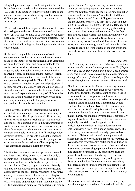Morphologies) and experience hearing with the entire body. Moreover, panels such as the one that hosted the UK women-led sound systems were able to fire up the audience sharing stories about struggles that so many different participants were able to relate to and be inspired by.

We have described these aspects – that many of us keep discussing – in order to at least attempt to sketch what the event was like for those of us who had never before been directly involved in sound system practices. How it educated us in political lessons we didn't know about and the infinite listening and knowing capacities of our entire bodies.

So far, we've argued the phenomenon of sonic engagement to hold an introspective dimension (one made of the impact of reggae/dancehall/dub vibrations on one's body and mind) and one associated to the social, collective dimension of experiencing music together, able to establish a temporary community marked by unity and mutual enhancement. It is from this second dimension that a third level of the sonic engagement is made possible. This third level is the one of potential, imaginary, open-ended projections. It regards all of the interactions that could be articulated from that second level of mutual enhancement, able to reach out and expand the community of all those who make the sound possible: from the people who build and carry a sound system, to the people who listen to it and produce the sounds that animates it.

Using a symbol dear to the Rastafarians, we could argue that the sonic engagement we're describing is similar to a tree. The deep vibrational effect its root; the collective dimension reaching out like branches and the potential expansion as its flowers, promises of fruits to come. Yet at the same time we must imagine these three aspects as simultaneous and interlaced; a constant cycle able to re-invent itself breeding a wide diversity of flowers. In order to ground this metaphor and show why it addresses some of the synergies we've experienced on this occasion, we'll exemplify how each dimension unfolded during the event.

The first two dimensions are indispensably personal and intertwined. They belong to a particular body's memory and – simultaneously – speak about the communities that the body has been a part of. So, for instance for me (Oana), reggae sounds are distantly dug into my childhood; Bob & the Wailers cassettes accompanying the quiet family road trips in my native country, Romania, before I knew a word of English. Later, as a young immigrant in Italy, it was the anthems of Sister Nancy and Anthony B that made me and my girlfriends buzz and bounce at the dancehalls in smoky

squats. Damian Marley instructing us how to move synchronized during countless anti-racist marches across the country. Italian reggae blossoming like it had always existed in Italy, with Africa Unite, Sud Sound System, Alborosie and Brusco filling our bedrooms and the students' parties. The first time I went to a dub night in Bologna all I remember is the excitement of all my comrades for the new genre and my guts bursting with sounds. The unease and wondering for the first time if those stacks weren't too high. In what way was that ticklish echo connected to Sister Nancy's flirty and reassuring horns, I wondered. Fast forward eleven years, and, now an immigrant in London, my body had learned to grasp different lengths of the dub experience. Here's how I captured Jah Shaka's dub session in my diary:

#### 15 December 2017

*If I close my eyes, I am convinced that there is nobody around me, that the music envelops me alone. Yet if I open my eyes I see a highly populated womb. I look around and I smile, as if I were altered by some endorphins-inducing substance. It feels a bit as if I were looking at the others through water, my ears numbed. The air is thick.*

This is just one example of how the sound system can be incorporated, of how it regards psycho-physical dispositions (warmth, coquetry, bursting guts, ticklish echoes, confidence, happiness, wholesomeness), alongside the reassurance that derives from temporarily sharing a sense of kinship and synchronized action, whether choreographic or lyrical. This memory (and often the prospect) of kinship is what substantially strengthens the bonds around sound systems, in ways that are hardly rationalized or verbalized. This partially explains how different workers of the university have magically materialized and supported us in the most critical moments or how an international team was able to transform itself into a sound system crew. This is testimony to a collective knowledge practice based on doing collaboratively, fueled by the power with rather than the power on. In this practice hierarchies are overshadowed by everyone's particular contribution to the afore-mentioned collective sense of kinship, which is enhanced by every single person who was invested in it: from the organisers to the performers, from the panelists to the audience.This brings us to the last dimension of our sonic engagement, to the generative force of imagination. To what was made possible by the shared sense of kinship brought into being by the event's synergies, which gave us courage to think into existence ways to extend and re-invent the community we felt part of.

The first open-ended extension we felt as an urgency was the intergenerational one. In a period in which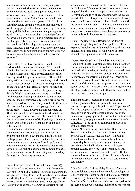youth music subcultures are increasingly stigmatized in London, we felt the need to recognize the value of the work of the local young performers, while sharing with them the powerful resonance tool of the sound system. On the 30th of June the members of the Lewisham-based sound system, Unit137, shared their knowledge during a workshop that involved 6 local young people interested in improving their music writing skills. In less than an hour the participants, aged 14 to 16, wrote an original song and performed it, showing us how sharing music practices can enrich the dialogue between generations in an historical moment in which listening to the young people is more important than ever before. As one of the young participants put it: 'we were able to express ourselves for ourselves without boundaries and we worked together.'

Later that day, four local performers aged 16 to 19 performed their music on the stage of The Stretch (Goldsmiths' Student Union bar) for the first time with a sound system and received professional feedback that improved their performance skills. Three of the young artists eventually performed alongside the sound system crew on stage at the Lewisham People's Day, on the 7th of July. This small event was the fruit of countless informal conversations happened during the Strictly Vinyl days about the necessity to reach out for the younger music practitioners and make more space for them in our university. In this sense, we've aimed to transform the university into the fertile terrain of encounter for students, local young talents and music professionals, in ways that has benefitted all. The young people mainly wrote and performed RnB, afrobeat, grime or hip hop, and it became clear that the sound system ecology of skills, ethos, community, sounds worked as a tool of connection and mutual enhancement.

It is in this sense that sonic engagement addresses the many cathartic resonances that this event has brought into existence. On the one side, it is rooted in the physical effects of sound, on the other side it is connected to the reassurance of kinship and mutual enhancement, and finally, this embodied and practical sense of being part of a harmonized community opens up unpredictable ways of re-investing and expanding the legacies of sound system culture.

64 Rather than an exhaustive empirical description, the Each of the pieces that follow in this section of *Riffs* Vol. 2 Issue 2 have been written by an SSO member – staff and BA and MA students – active in organising the symposium, writing from a wide variety of perspectives and shifting in scale, tone, and frequency. We have tried to write in a manner commensurate to our experiences.

writing collected here represents a textual archive of the feelings and thoughts of participants, as well as a range of theorisations of our practice as a collective. For staff and students alike, engaging with the events as part of the SSO has provided a stimulus for thinking about sound system culture, wider societal issues and the place of the university within this, and the ways in which we write about our insights. Rather than merely a standalone activity, these events have become central to our pedagogical and research practices.

Brian D'Aquino's piece, Rewinding the Tape of History: King Tubby and the Audiopolitics of Echo, explores the echo, one of dub music's most distinctive features, as a sonic image around which to form alternate conceptualisations of the historical.

Nayress Ben Gaga's text, Sound Systems and the Bending of Space: Funambulism from Fanon to Albert Einstein, imagines the sound system as an object of great affective density, generating a gravitational space which we fall into, a field that exceeds and overflows its immediately perceptible dimensions. Drawing on Einstein's Theory of Relativity and Fanon's writings on the circle of dance, Nayress proposes to read the sound system dance as a uniquely expansive space generating affective fields and orbital paths through which bodies move and subjects are reconfigured.

The symposium's location in South-East London features prominently in the pieces. If south-east London is a periphery to be policed and "regenerated" from the perspective of property developers and the state, it is also one of the great metropolises of the outernational geographies of sound system culture, with a long history of popular mobilisation. As a research collective, we see this as crucial point of encounter with our neighbours.

Claudia Nardini's piece, From Italian Dancehalls to South East London. An Epiphanic Journey through Sounds and Systems, reads the SSO symposia an attempt to actualise, however partially, a different relationship between the university and the rest of the neighborhood. Claudia proposes building on popular culture, knowledge, and technique as well as the practices of critical intervention and collective research developed by the tradition of Cultural Studies to reimagine the university as a site of resistance and conviviality.

Pablo De La Cruz' piece, Noisy Echoes reflects on the parallel between sound technologies developed in Chile within the Thrash scene and the ones constantly reinvented by the Caribbean diaspora within dub. Practices of noise, silence and echo are read against the backdrop of the two countries' histories of oppressions